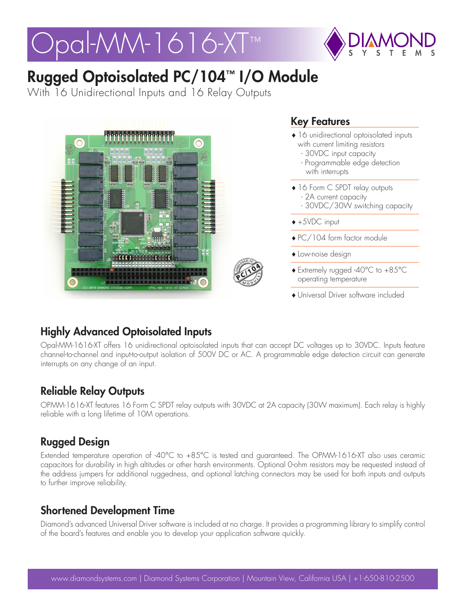# Pal-MM-1616-XT™



# Rugged Optoisolated PC/104™ I/O Module

With 16 Unidirectional Inputs and 16 Relay Outputs



#### Key Features

- ♦16 unidirectional optoisolated inputs with current limiting resistors
	- 30VDC input capacity
	- Programmable edge detection with interrupts
- ♦16 Form C SPDT relay outputs
	- 2A current capacity
	- 30VDC/30W switching capacity
- ♦+5VDC input
- ♦PC/104 form factor module
- ♦Low-noise design
- ♦Extremely rugged -40°C to +85°C operating temperature
- ♦Universal Driver software included

## Highly Advanced Optoisolated Inputs

Opal-MM-1616-XT offers 16 unidirectional optoisolated inputs that can accept DC voltages up to 30VDC. Inputs feature channel-to-channel and input-to-output isolation of 500V DC or AC. A programmable edge detection circuit can generate interrupts on any change of an input.

#### Reliable Relay Outputs

OPMM-1616-XT features 16 Form C SPDT relay outputs with 30VDC at 2A capacity (30W maximum). Each relay is highly reliable with a long lifetime of 10M operations.

## Rugged Design

Extended temperature operation of -40°C to +85°C is tested and guaranteed. The OPMM-1616-XT also uses ceramic capacitors for durability in high altitudes or other harsh environments. Optional 0-ohm resistors may be requested instead of the address jumpers for additional ruggedness, and optional latching connectors may be used for both inputs and outputs to further improve reliability.

#### Shortened Development Time

Diamond's advanced Universal Driver software is included at no charge. It provides a programming library to simplify control of the board's features and enable you to develop your application software quickly.